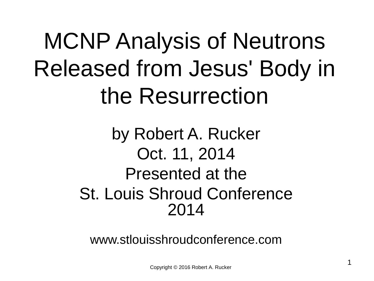# MCNP Analysis of Neutrons Released from Jesus' Body in the Resurrection

#### by Robert A. Rucker Oct. 11, 2014 Presented at the St. Louis Shroud Conference 2014

www.stlouisshroudconference.com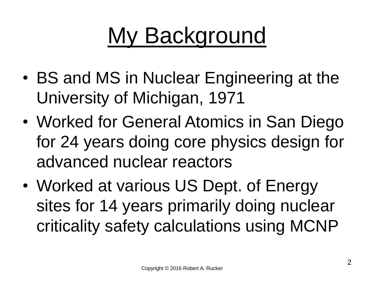# My Background

- BS and MS in Nuclear Engineering at the University of Michigan, 1971
- Worked for General Atomics in San Diego for 24 years doing core physics design for advanced nuclear reactors
- Worked at various US Dept. of Energy sites for 14 years primarily doing nuclear criticality safety calculations using MCNP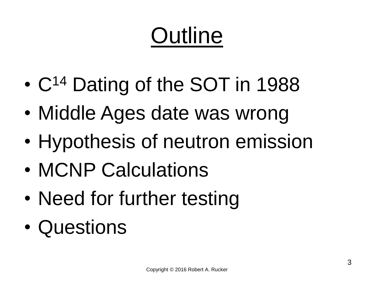# **Outline**

- C<sup>14</sup> Dating of the SOT in 1988
- Middle Ages date was wrong
- Hypothesis of neutron emission
- MCNP Calculations
- Need for further testing
- Questions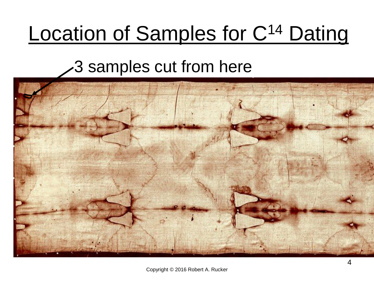#### Location of Samples for C<sup>14</sup> Dating

#### 3 samples cut from here

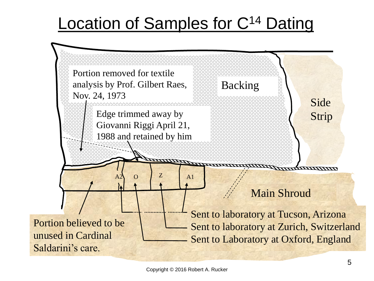#### Location of Samples for C<sup>14</sup> Dating

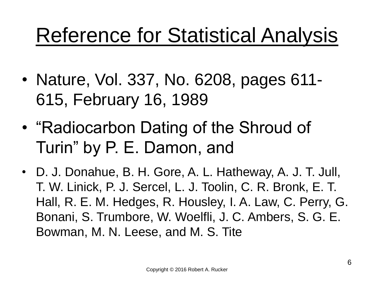#### Reference for Statistical Analysis

- Nature, Vol. 337, No. 6208, pages 611- 615, February 16, 1989
- "Radiocarbon Dating of the Shroud of Turin" by P. E. Damon, and
- D. J. Donahue, B. H. Gore, A. L. Hatheway, A. J. T. Jull, T. W. Linick, P. J. Sercel, L. J. Toolin, C. R. Bronk, E. T. Hall, R. E. M. Hedges, R. Housley, I. A. Law, C. Perry, G. Bonani, S. Trumbore, W. Woelfli, J. C. Ambers, S. G. E. Bowman, M. N. Leese, and M. S. Tite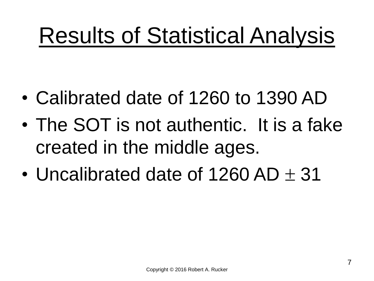### Results of Statistical Analysis

- Calibrated date of 1260 to 1390 AD
- The SOT is not authentic. It is a fake created in the middle ages.
- Uncalibrated date of 1260 AD  $+$  31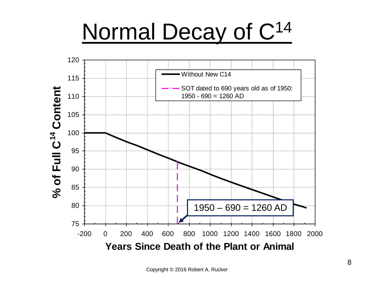### Normal Decay of C<sup>14</sup>

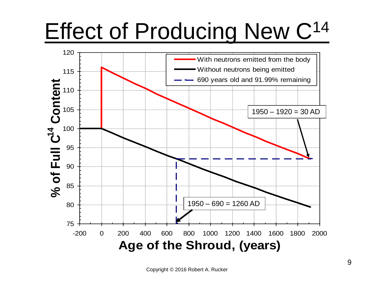# Effect of Producing New C<sup>14</sup>

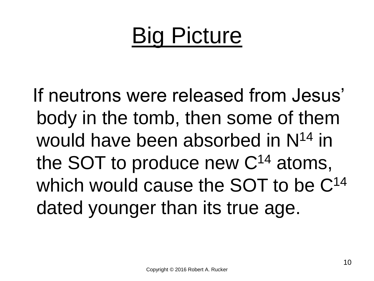### Big Picture

If neutrons were released from Jesus' body in the tomb, then some of them would have been absorbed in N<sup>14</sup> in the SOT to produce new C<sup>14</sup> atoms, which would cause the SOT to be  $C^{14}$ dated younger than its true age.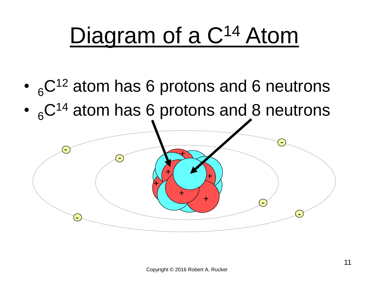## Diagram of a C<sup>14</sup> Atom

- $\cdot$   $_{6}$ C<sup>12</sup> atom has 6 protons and 6 neutrons
- 6<sup>C14</sup> atom has 6 protons and 8 neutrons

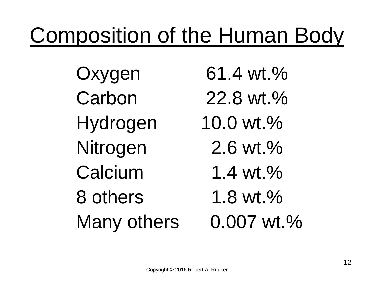#### Composition of the Human Body

Oxygen 61.4 wt.% Carbon 22.8 wt.% Hydrogen 10.0 wt.% Nitrogen 2.6 wt.% Calcium 1.4 wt.% 8 others 1.8 wt. % Many others 0.007 wt.%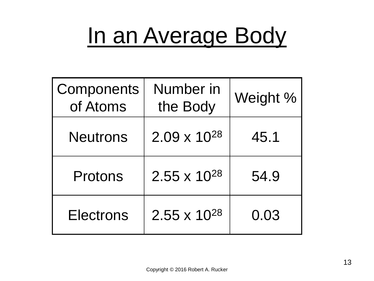### In an Average Body

| Components<br>of Atoms | Number in<br>the Body | Weight % |
|------------------------|-----------------------|----------|
| <b>Neutrons</b>        | $2.09 \times 10^{28}$ | 45.1     |
| Protons                | $2.55 \times 10^{28}$ | 54.9     |
| <b>Electrons</b>       | $2.55 \times 10^{28}$ | 0.03     |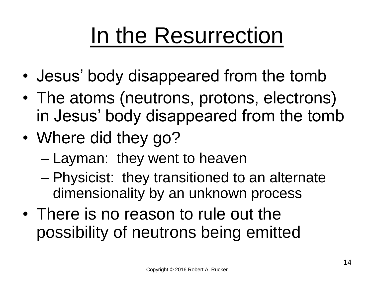### In the Resurrection

- Jesus' body disappeared from the tomb
- The atoms (neutrons, protons, electrons) in Jesus' body disappeared from the tomb
- Where did they go?
	- Layman: they went to heaven
	- Physicist: they transitioned to an alternate dimensionality by an unknown process
- There is no reason to rule out the possibility of neutrons being emitted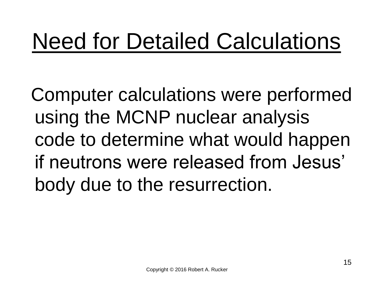### Need for Detailed Calculations

Computer calculations were performed using the MCNP nuclear analysis code to determine what would happen if neutrons were released from Jesus' body due to the resurrection.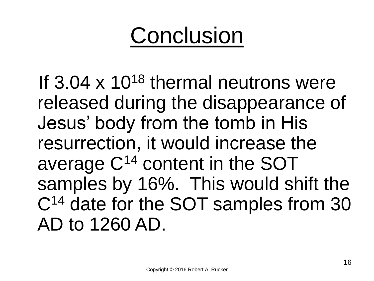#### **Conclusion**

If  $3.04 \times 10^{18}$  thermal neutrons were released during the disappearance of Jesus' body from the tomb in His resurrection, it would increase the average C<sup>14</sup> content in the SOT samples by 16%. This would shift the C<sup>14</sup> date for the SOT samples from 30 AD to 1260 AD.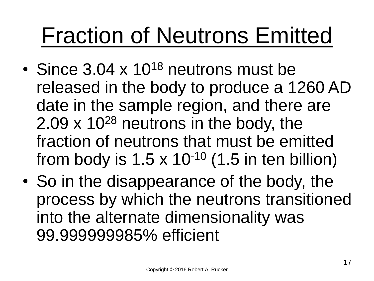### Fraction of Neutrons Emitted

- Since  $3.04 \times 10^{18}$  neutrons must be released in the body to produce a 1260 AD date in the sample region, and there are 2.09  $\times$  10<sup>28</sup> neutrons in the body, the fraction of neutrons that must be emitted from body is  $1.5 \times 10^{-10}$  (1.5 in ten billion)
- So in the disappearance of the body, the process by which the neutrons transitioned into the alternate dimensionality was 99.999999985% efficient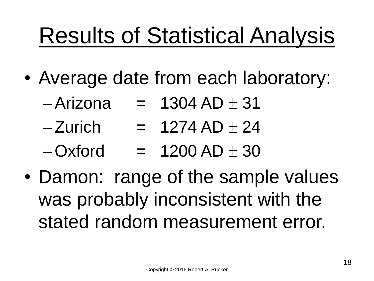# Results of Statistical Analysis

- Average date from each laboratory:
	- $-Arizona = 1304 AD + 31$
	- $-Zurich = 1274 AD + 24$
	- $–Oxford = 1200 AD + 30$
- Damon: range of the sample values was probably inconsistent with the stated random measurement error.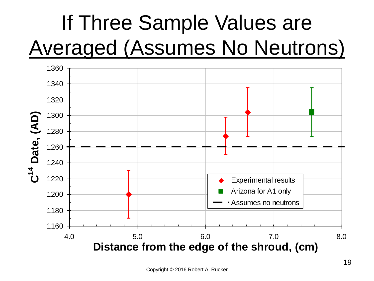#### If Three Sample Values are Averaged (Assumes No Neutrons)

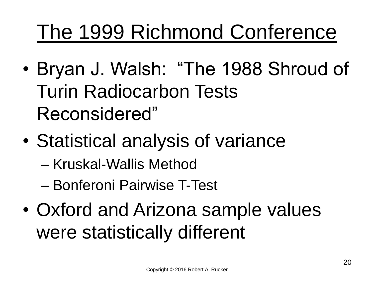#### The 1999 Richmond Conference

- Bryan J. Walsh: "The 1988 Shroud of Turin Radiocarbon Tests Reconsidered"
- Statistical analysis of variance
	- Kruskal-Wallis Method
	- Bonferoni Pairwise T-Test
- Oxford and Arizona sample values were statistically different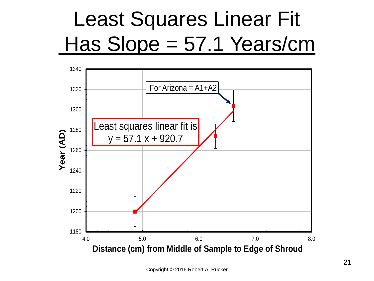#### Least Squares Linear Fit Has Slope = 57.1 Years/cm

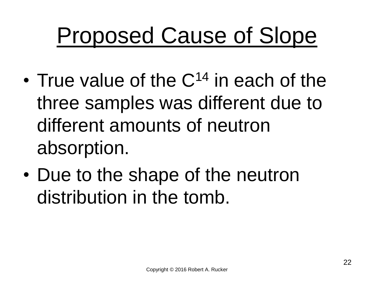### Proposed Cause of Slope

- True value of the  $C^{14}$  in each of the three samples was different due to different amounts of neutron absorption.
- Due to the shape of the neutron distribution in the tomb.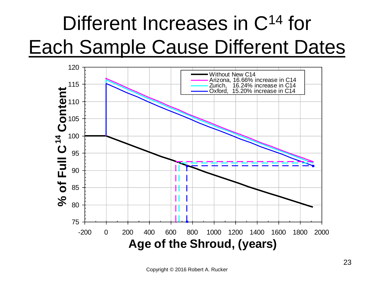#### Different Increases in C<sup>14</sup> for Each Sample Cause Different Dates

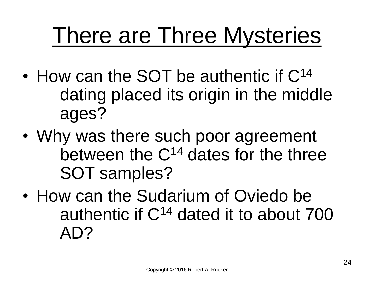### There are Three Mysteries

- How can the SOT be authentic if C<sup>14</sup> dating placed its origin in the middle ages?
- Why was there such poor agreement between the C<sup>14</sup> dates for the three SOT samples?
- How can the Sudarium of Oviedo be authentic if  $C^{14}$  dated it to about  $700$ AD?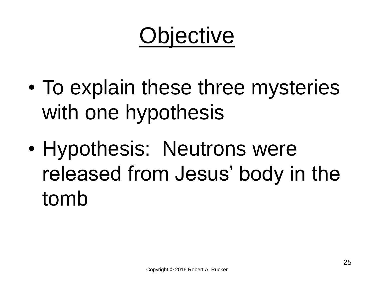## **Objective**

- To explain these three mysteries with one hypothesis
- Hypothesis: Neutrons were released from Jesus' body in the tomb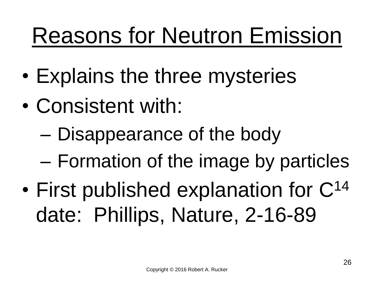### Reasons for Neutron Emission

- Explains the three mysteries
- Consistent with:
	- Disappearance of the body
	- Formation of the image by particles
- First published explanation for C<sup>14</sup> date: Phillips, Nature, 2-16-89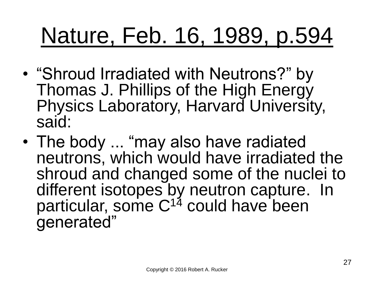### Nature, Feb. 16, 1989, p.594

- "Shroud Irradiated with Neutrons?" by Thomas J. Phillips of the High Energy Physics Laboratory, Harvard University, said:
- The body ... "may also have radiated neutrons, which would have irradiated the shroud and changed some of the nuclei to different isotopes by neutron capture. In particular, some C<sup>14</sup> could have been generated"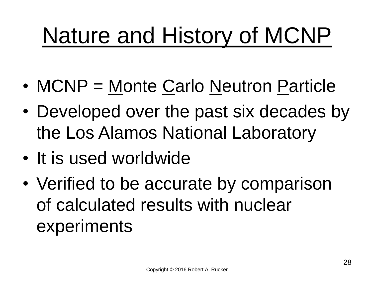# Nature and History of MCNP

- MCNP = Monte Carlo Neutron Particle
- Developed over the past six decades by the Los Alamos National Laboratory
- It is used worldwide
- Verified to be accurate by comparison of calculated results with nuclear experiments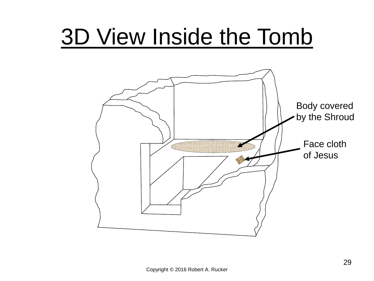#### 3D View Inside the Tomb

![](_page_28_Figure_1.jpeg)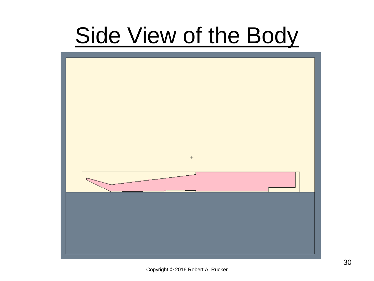### Side View of the Body

![](_page_29_Figure_1.jpeg)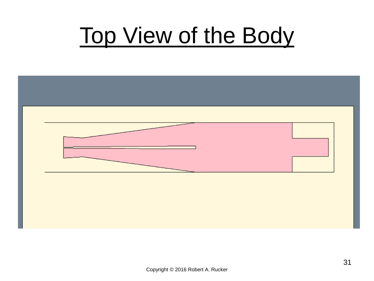### Top View of the Body

![](_page_30_Figure_1.jpeg)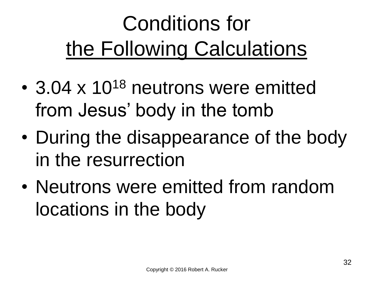### Conditions for the Following Calculations

- 3.04 x 10<sup>18</sup> neutrons were emitted from Jesus' body in the tomb
- During the disappearance of the body in the resurrection
- Neutrons were emitted from random locations in the body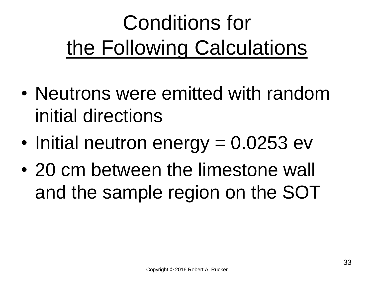### Conditions for the Following Calculations

- Neutrons were emitted with random initial directions
- Initial neutron energy = 0.0253 ev
- 20 cm between the limestone wall and the sample region on the SOT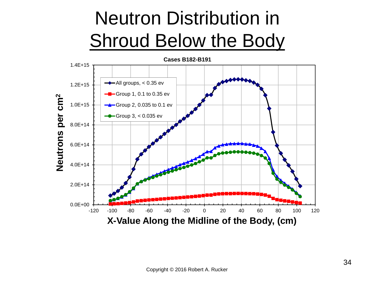#### Neutron Distribution in Shroud Below the Body

![](_page_33_Figure_1.jpeg)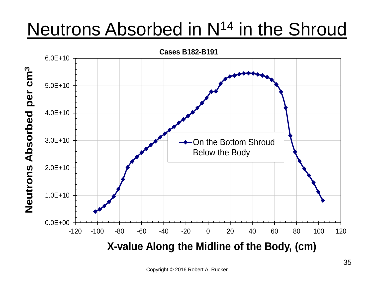#### Neutrons Absorbed in N<sup>14</sup> in the Shroud

![](_page_34_Figure_1.jpeg)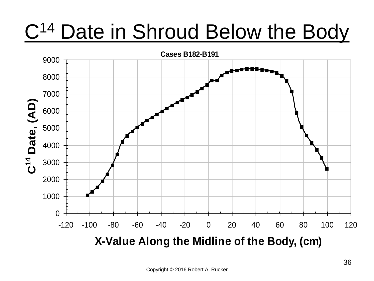#### C<sup>14</sup> Date in Shroud Below the Body

![](_page_35_Figure_1.jpeg)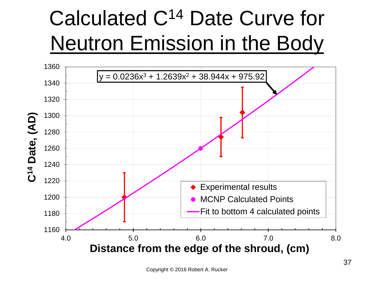#### Calculated C<sup>14</sup> Date Curve for Neutron Emission in the Body

![](_page_36_Figure_1.jpeg)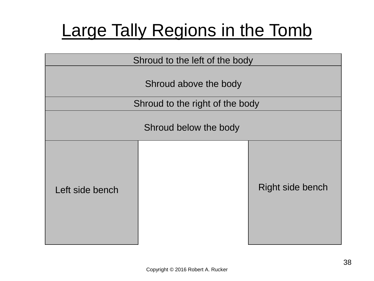#### Large Tally Regions in the Tomb

| Shroud to the left of the body |                                 |                         |  |  |  |  |  |  |  |
|--------------------------------|---------------------------------|-------------------------|--|--|--|--|--|--|--|
|                                | Shroud above the body           |                         |  |  |  |  |  |  |  |
|                                | Shroud to the right of the body |                         |  |  |  |  |  |  |  |
| Shroud below the body          |                                 |                         |  |  |  |  |  |  |  |
| Left side bench                |                                 | <b>Right side bench</b> |  |  |  |  |  |  |  |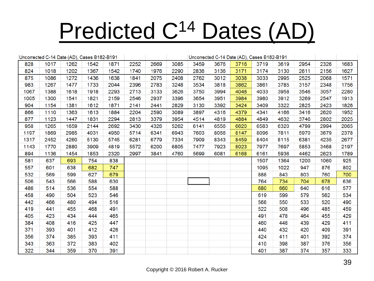# Predicted C<sup>14</sup> Dates (AD)

|      | Uncorrected C-14 Date (AD), Cases B182-B191 |      |      |      |      |      | Uncorrected C-14 Date (AD), Cases B182-B191 |      |      |      |      |      |      |      |      |
|------|---------------------------------------------|------|------|------|------|------|---------------------------------------------|------|------|------|------|------|------|------|------|
| 828  | 1017                                        | 1262 | 1542 | 1871 | 2252 | 2669 | 3085                                        | 3459 | 3676 | 3716 | 3719 | 3619 | 2954 | 2326 | 1683 |
| 824  | 1018                                        | 1202 | 1367 | 1542 | 1740 | 1976 | 2290                                        | 2836 | 3136 | 3171 | 3174 | 3130 | 2611 | 2156 | 1627 |
| 875  | 1086                                        | 1272 | 1436 | 1638 | 1841 | 2075 | 2408                                        | 2762 | 3012 | 3038 | 3033 | 2995 | 2525 | 2068 | 1571 |
| 983  | 1267                                        | 1477 | 1733 | 2044 | 2396 | 2783 | 3248                                        | 3534 | 3818 | 3862 | 3861 | 3785 | 3157 | 2348 | 1756 |
| 1067 | 1388                                        | 1618 | 1918 | 2293 | 2713 | 3133 | 3626                                        | 3750 | 3994 | 4048 | 4033 | 3958 | 3546 | 3057 | 2280 |
| 1005 | 1300                                        | 1541 | 1821 | 2159 | 2546 | 2937 | 3396                                        | 3654 | 3951 | 3984 | 3980 | 3912 | 3269 | 2547 | 1913 |
| 904  | 1154                                        | 1381 | 1612 | 1871 | 2141 | 2441 | 2829                                        | 3130 | 3392 | 3424 | 3409 | 3322 | 2825 | 2423 | 1826 |
| 866  | 1110                                        | 1363 | 1613 | 1884 | 2204 | 2590 | 3089                                        | 3897 | 4316 | 4379 | 4341 | 4166 | 3416 | 2620 | 1952 |
| 877  | 1123                                        | 1447 | 1831 | 2294 | 2813 | 3379 | 3954                                        | 4514 | 4819 | 4884 | 4849 | 4632 | 3746 | 2802 | 2025 |
| 958  | 1265                                        | 1659 | 2144 | 2692 | 3430 | 4326 | 5262                                        | 6141 | 6556 | 6620 | 6583 | 6320 | 4799 | 2994 | 2065 |
| 1197 | 1869                                        | 2985 | 4031 | 4950 | 5714 | 6341 | 6943                                        | 7603 | 8056 | 8147 | 8096 | 7811 | 5970 | 3679 | 2378 |
| 1317 | 2452                                        | 4260 | 5130 | 5745 | 6281 | 6779 | 7334                                        | 7909 | 8343 | 8459 | 8404 | 8115 | 6381 | 4235 | 2677 |
| 1143 | 1770                                        | 2880 | 3909 | 4819 | 5572 | 6200 | 6805                                        | 7477 | 7923 | 8023 | 7977 | 7697 | 5853 | 3468 | 2197 |
| 894  | 1136                                        | 1454 | 1853 | 2320 | 2997 | 3841 | 4760                                        | 5699 | 6081 | 6168 | 6161 | 5936 | 4462 | 2623 | 1789 |
| 581  | 637                                         | 693  | 754  | 838  |      |      |                                             |      |      |      | 1507 | 1364 | 1200 | 1060 | 925  |
| 557  | 601                                         | 638  | 682  | 747  |      |      |                                             |      |      |      | 1095 | 1022 | 947  | 876  | 802  |
| 532  | 569                                         | 599  | 627  | 679  |      |      |                                             |      |      |      | 888  | 843  | 803  | 760  | 700  |
| 506  | 543                                         | 566  | 588  | 630  |      |      |                                             |      |      |      | 764  | 734  | 704  | 678  | 636  |
| 486  | 514                                         | 536  | 554  | 588  |      |      |                                             |      |      |      | 680  | 660  | 640  | 616  | 577  |
| 458  | 490                                         | 504  | 523  | 546  |      |      |                                             |      |      |      | 619  | 599  | 579  | 562  | 534  |
| 442  | 466                                         | 480  | 494  | 516  |      |      |                                             |      |      |      | 568  | 550  | 533  | 520  | 490  |
| 419  | 441                                         | 455  | 468  | 491  |      |      |                                             |      |      |      | 522  | 508  | 496  | 485  | 459  |
| 405  | 423                                         | 434  | 444  | 465  |      |      |                                             |      |      |      | 491  | 478  | 464  | 455  | 429  |
| 384  | 408                                         | 416  | 425  | 447  |      |      |                                             |      |      |      | 460  | 448  | 439  | 429  | 411  |
| 371  | 393                                         | 401  | 412  | 426  |      |      |                                             |      |      |      | 440  | 432  | 420  | 409  | 391  |
| 356  | 374                                         | 385  | 393  | 411  |      |      |                                             |      |      |      | 424  | 411  | 401  | 392  | 374  |
| 343  | 363                                         | 372  | 383  | 402  |      |      |                                             |      |      |      | 410  | 398  | 387  | 376  | 356  |
| 322  | 344                                         | 359  | 370  | 391  |      |      |                                             |      |      |      | 401  | 387  | 374  | 357  | 333  |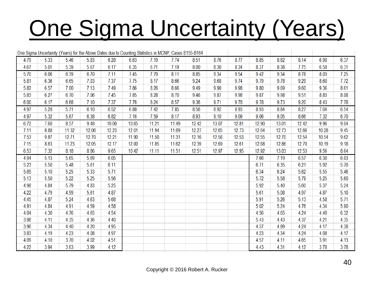# **One Sigma Uncertainty (Years)**

|      |      | One Sigma Uncertainty (Years) for the Above Dates due to Counting Statistics in MCNP, Cases B155-B164 |       |       |       |       |       |       |       |       |       |       |       |       |      |
|------|------|-------------------------------------------------------------------------------------------------------|-------|-------|-------|-------|-------|-------|-------|-------|-------|-------|-------|-------|------|
| 4.79 | 5.33 | 5.46                                                                                                  | 5.83  | 6.28  | 6.63  | 7.19  | 7.74  | 8.51  | 8.76  | 8.77  | 8.85  | 8.62  | 8.14  | 6.90  | 6.37 |
| 4.67 | 5.01 | 5.39                                                                                                  | 5.67  | 6.17  | 6.35  | 6.71  | 7.19  | 8.00  | 8.30  | 8.34  | 8.37  | 8.38  | 7.75  | 6.58  | 6.31 |
| 5.70 | 6.06 | 6.39                                                                                                  | 6.70  | 7.11  | 7.45  | 7.79  | 8.11  | 8.85  | 9.34  | 9.54  | 9.42  | 9.34  | 8.78  | 8.03  | 7.25 |
| 5.81 | 6.36 | 6.65                                                                                                  | 7.03  | 7.37  | 7.75  | 8.17  | 8.66  | 9.24  | 9.68  | 9.74  | 9.79  | 9.78  | 9.29  | 8.60  | 7.72 |
| 5.82 | 6.57 | 7.00                                                                                                  | 7.13  | 7.49  | 7.86  | 8.26  | 8.66  | 9.49  | 9.90  | 9.98  | 9.80  | 9.69  | 9.60  | 9.36  | 8.61 |
| 5.83 | 6.27 | 6.70                                                                                                  | 7.06  | 7.45  | 7.85  | 8.28  | 8.70  | 9.46  | 9.87  | 9.98  | 9.87  | 9.98  | 9.51  | 8.83  | 8.08 |
| 6.00 | 6.17 | 6.68                                                                                                  | 7.10  | 7.37  | 7.76  | 8.24  | 8.57  | 9.36  | 9.71  | 9.78  | 9.78  | 9.73  | 9.20  | 8.43  | 7.78 |
| 4.97 | 5.28 | 5.71                                                                                                  | 6.10  | 6.52  | 6.88  | 7.42  | 7.85  | 8.56  | 8.92  | 8.93  | 8.93  | 8.84  | 8.27  | 7.04  | 6.54 |
| 4.97 | 5.32 | 5.67                                                                                                  | 6.38  | 6.82  | 7.16  | 7.59  | 8.17  | 8.93  | 9.10  | 9.09  | 9.06  | 9.05  | 8.66  | 7.32  | 6.70 |
| 6.72 | 7.60 | 8.57                                                                                                  | 9.48  | 10.00 | 10.65 | 11.21 | 11.49 | 12.42 | 13.07 | 12.81 | 12.90 | 13.01 | 12.42 | 9.96  | 9.04 |
| 7.11 | 8.88 | 11.32                                                                                                 | 12.06 | 12.23 | 12.01 | 11.94 | 11.69 | 12.27 | 12.65 | 12.73 | 12.64 | 12.73 | 12.66 | 10.28 | 9.45 |
| 7.53 | 9.87 | 12.71                                                                                                 | 12.70 | 12.21 | 11.90 | 11.50 | 11.31 | 12.16 | 12.56 | 12.53 | 12.55 | 12.70 | 12.54 | 10.54 | 9.62 |
| 7.15 | 8.63 | 11.23                                                                                                 | 12.05 | 12.17 | 12.00 | 11.85 | 11.62 | 12.39 | 12.69 | 12.61 | 12.68 | 12.86 | 12.70 | 10.19 | 9.18 |
| 6.53 | 7.32 | 8.18                                                                                                  | 8.86  | 9.65  | 10.42 | 11.11 | 11.51 | 12.51 | 12.97 | 12.95 | 12.92 | 13.03 | 12.53 | 9.56  | 8.64 |
| 4.94 | 5.13 | 5.65                                                                                                  | 5.69  | 6.05  |       |       |       |       |       |       | 7.66  | 7.19  | 6.57  | 6.30  | 6.03 |
| 5.23 | 5.50 | 5.48                                                                                                  | 5.61  | 6.11  |       |       |       |       |       |       | 6.71  | 6.35  | 6.21  | 5.92  | 5.70 |
| 5.69 | 5.10 | 5.25                                                                                                  | 5.33  | 5.71  |       |       |       |       |       |       | 6.34  | 6.24  | 5.62  | 5.55  | 5.46 |
| 5.13 | 5.50 | 5.22                                                                                                  | 5.25  | 5.56  |       |       |       |       |       |       | 5.72  | 5.58  | 5.79  | 5.25  | 5.60 |
| 4.98 | 4.84 | 5.79                                                                                                  | 4.83  | 5.25  |       |       |       |       |       |       | 5.92  | 5.40  | 5.60  | 5.37  | 5.24 |
| 4.22 | 4.79 | 4.99                                                                                                  | 5.61  | 4.87  |       |       |       |       |       |       | 5.61  | 5.08  | 4.97  | 4.87  | 5.10 |
| 4.45 | 4.87 | 5.24                                                                                                  | 4.63  | 5.68  |       |       |       |       |       |       | 5.91  | 5.26  | 5.13  | 4.58  | 5.71 |
| 4.91 | 4.84 | 4.91                                                                                                  | 4.59  | 4.58  |       |       |       |       |       |       | 5.02  | 5.24  | 4.76  | 4.34  | 5.90 |
| 4.04 | 4.30 | 4.76                                                                                                  | 4.65  | 4.54  |       |       |       |       |       |       | 4.56  | 4.65  | 4.24  | 4.40  | 6.32 |
| 3.98 | 4.11 | 4.35                                                                                                  | 4.36  | 4.40  |       |       |       |       |       |       | 5.43  | 4.43  | 4.37  | 4.21  | 4.35 |
| 3.96 | 4.34 | 4.40                                                                                                  | 4.20  | 4.95  |       |       |       |       |       |       | 4.37  | 4.89  | 4.24  | 4.17  | 4.38 |
| 3.83 | 4.19 | 4.23                                                                                                  | 4.08  | 4.97  |       |       |       |       |       |       | 4.23  | 4.34  | 4.24  | 4.08  | 4.17 |
| 4.09 | 4.10 | 3.70                                                                                                  | 4.02  | 4.51  |       |       |       |       |       |       | 4.57  | 4.11  | 4.65  | 3.91  | 4.13 |
| 4.22 | 3.94 | 3.63                                                                                                  | 3.99  | 4.12  |       |       |       |       |       |       | 4.43  | 4.31  | 4.12  | 3.78  | 3.78 |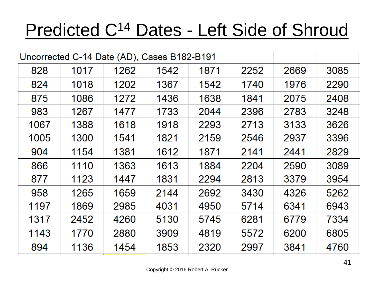#### Predicted C<sup>14</sup> Dates - Left Side of Shroud

| Uncorrected C-14 Date (AD), Cases B182-B191 |      |      |      |      |      |      |      |  |
|---------------------------------------------|------|------|------|------|------|------|------|--|
| 828                                         | 1017 | 1262 | 1542 | 1871 | 2252 | 2669 | 3085 |  |
| 824                                         | 1018 | 1202 | 1367 | 1542 | 1740 | 1976 | 2290 |  |
| 875                                         | 1086 | 1272 | 1436 | 1638 | 1841 | 2075 | 2408 |  |
| 983                                         | 1267 | 1477 | 1733 | 2044 | 2396 | 2783 | 3248 |  |
| 1067                                        | 1388 | 1618 | 1918 | 2293 | 2713 | 3133 | 3626 |  |
| 1005                                        | 1300 | 1541 | 1821 | 2159 | 2546 | 2937 | 3396 |  |
| 904                                         | 1154 | 1381 | 1612 | 1871 | 2141 | 2441 | 2829 |  |
| 866                                         | 1110 | 1363 | 1613 | 1884 | 2204 | 2590 | 3089 |  |
| 877                                         | 1123 | 1447 | 1831 | 2294 | 2813 | 3379 | 3954 |  |
| 958                                         | 1265 | 1659 | 2144 | 2692 | 3430 | 4326 | 5262 |  |
| 1197                                        | 1869 | 2985 | 4031 | 4950 | 5714 | 6341 | 6943 |  |
| 1317                                        | 2452 | 4260 | 5130 | 5745 | 6281 | 6779 | 7334 |  |
| 1143                                        | 1770 | 2880 | 3909 | 4819 | 5572 | 6200 | 6805 |  |
| 894                                         | 1136 | 1454 | 1853 | 2320 | 2997 | 3841 | 4760 |  |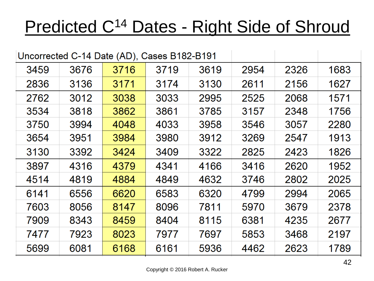#### Predicted C<sup>14</sup> Dates - Right Side of Shroud

|      | Uncorrected C-14 Date (AD), Cases B182-B191 |      |      |      |      |      |      |
|------|---------------------------------------------|------|------|------|------|------|------|
| 3459 | 3676                                        | 3716 | 3719 | 3619 | 2954 | 2326 | 1683 |
| 2836 | 3136                                        | 3171 | 3174 | 3130 | 2611 | 2156 | 1627 |
| 2762 | 3012                                        | 3038 | 3033 | 2995 | 2525 | 2068 | 1571 |
| 3534 | 3818                                        | 3862 | 3861 | 3785 | 3157 | 2348 | 1756 |
| 3750 | 3994                                        | 4048 | 4033 | 3958 | 3546 | 3057 | 2280 |
| 3654 | 3951                                        | 3984 | 3980 | 3912 | 3269 | 2547 | 1913 |
| 3130 | 3392                                        | 3424 | 3409 | 3322 | 2825 | 2423 | 1826 |
| 3897 | 4316                                        | 4379 | 4341 | 4166 | 3416 | 2620 | 1952 |
| 4514 | 4819                                        | 4884 | 4849 | 4632 | 3746 | 2802 | 2025 |
| 6141 | 6556                                        | 6620 | 6583 | 6320 | 4799 | 2994 | 2065 |
| 7603 | 8056                                        | 8147 | 8096 | 7811 | 5970 | 3679 | 2378 |
| 7909 | 8343                                        | 8459 | 8404 | 8115 | 6381 | 4235 | 2677 |
| 7477 | 7923                                        | 8023 | 7977 | 7697 | 5853 | 3468 | 2197 |
| 5699 | 6081                                        | 6168 | 6161 | 5936 | 4462 | 2623 | 1789 |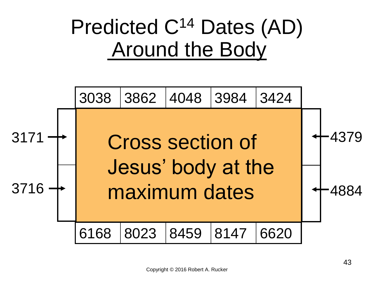#### Predicted C<sup>14</sup> Dates (AD) **Around the Body**

![](_page_42_Figure_1.jpeg)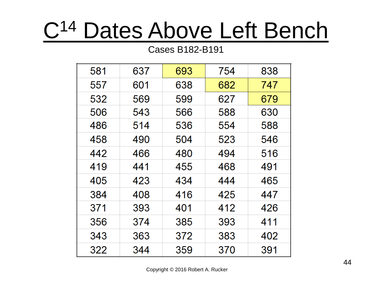## C<sup>14</sup> Dates Above Left Bench

#### Cases B182-B191

| 581 | 637 | 693 | 754 | 838 |
|-----|-----|-----|-----|-----|
| 557 | 601 | 638 | 682 | 747 |
| 532 | 569 | 599 | 627 | 679 |
| 506 | 543 | 566 | 588 | 630 |
| 486 | 514 | 536 | 554 | 588 |
| 458 | 490 | 504 | 523 | 546 |
| 442 | 466 | 480 | 494 | 516 |
| 419 | 441 | 455 | 468 | 491 |
| 405 | 423 | 434 | 444 | 465 |
| 384 | 408 | 416 | 425 | 447 |
| 371 | 393 | 401 | 412 | 426 |
| 356 | 374 | 385 | 393 | 411 |
| 343 | 363 | 372 | 383 | 402 |
| 322 | 344 | 359 | 370 | 391 |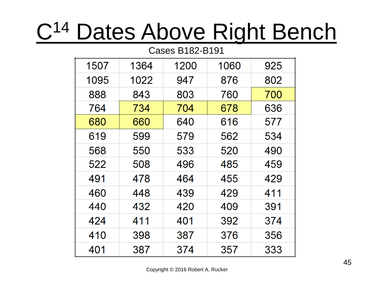### C<sup>14</sup> Dates Above Right Bench

Cases B182-B191

| CI UZ-DI GJGSDU |      |      |      |     |  |  |  |  |  |
|-----------------|------|------|------|-----|--|--|--|--|--|
| 1507            | 1364 | 1200 | 1060 | 925 |  |  |  |  |  |
| 1095            | 1022 | 947  | 876  | 802 |  |  |  |  |  |
| 888             | 843  | 803  | 760  | 700 |  |  |  |  |  |
| 764             | 734  | 704  | 678  | 636 |  |  |  |  |  |
| 680             | 660  | 640  | 616  | 577 |  |  |  |  |  |
| 619             | 599  | 579  | 562  | 534 |  |  |  |  |  |
| 568             | 550  | 533  | 520  | 490 |  |  |  |  |  |
| 522             | 508  | 496  | 485  | 459 |  |  |  |  |  |
| 491             | 478  | 464  | 455  | 429 |  |  |  |  |  |
| 460             | 448  | 439  | 429  | 411 |  |  |  |  |  |
| 440             | 432  | 420  | 409  | 391 |  |  |  |  |  |
| 424             | 411  | 401  | 392  | 374 |  |  |  |  |  |
| 410             | 398  | 387  | 376  | 356 |  |  |  |  |  |
| 401             | 387  | 374  | 357  | 333 |  |  |  |  |  |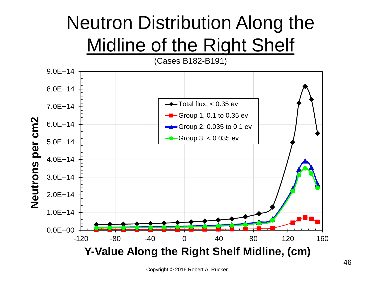#### Neutron Distribution Along the Midline of the Right Shelf

![](_page_45_Figure_1.jpeg)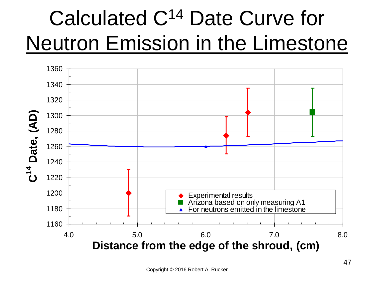#### Calculated C<sup>14</sup> Date Curve for Neutron Emission in the Limestone

![](_page_46_Figure_1.jpeg)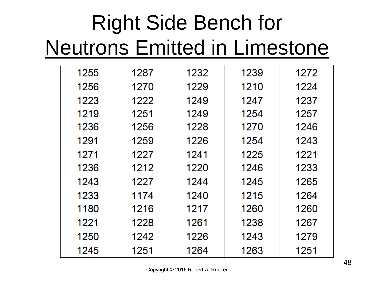#### Right Side Bench for Neutrons Emitted in Limestone

| 1255 | 1287 | 1232 | 1239 | 1272 |
|------|------|------|------|------|
| 1256 | 1270 | 1229 | 1210 | 1224 |
| 1223 | 1222 | 1249 | 1247 | 1237 |
| 1219 | 1251 | 1249 | 1254 | 1257 |
| 1236 | 1256 | 1228 | 1270 | 1246 |
| 1291 | 1259 | 1226 | 1254 | 1243 |
| 1271 | 1227 | 1241 | 1225 | 1221 |
| 1236 | 1212 | 1220 | 1246 | 1233 |
| 1243 | 1227 | 1244 | 1245 | 1265 |
| 1233 | 1174 | 1240 | 1215 | 1264 |
| 1180 | 1216 | 1217 | 1260 | 1260 |
| 1221 | 1228 | 1261 | 1238 | 1267 |
| 1250 | 1242 | 1226 | 1243 | 1279 |
| 1245 | 1251 | 1264 | 1263 | 1251 |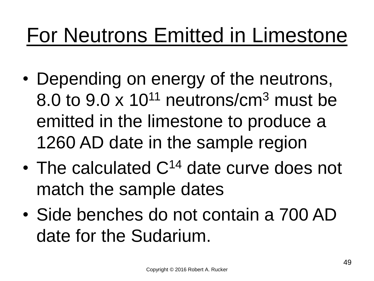#### For Neutrons Emitted in Limestone

- Depending on energy of the neutrons, 8.0 to  $9.0 \times 10^{11}$  neutrons/cm<sup>3</sup> must be emitted in the limestone to produce a 1260 AD date in the sample region
- The calculated C<sup>14</sup> date curve does not match the sample dates
- Side benches do not contain a 700 AD date for the Sudarium.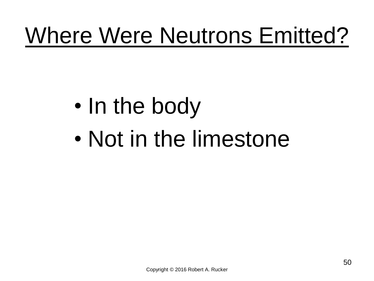# Where Were Neutrons Emitted?

### • In the body

• Not in the limestone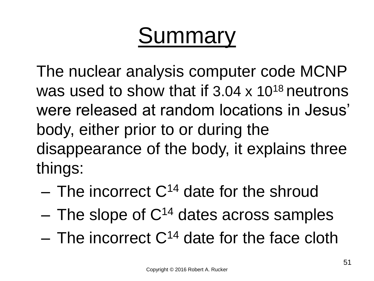### Summary

The nuclear analysis computer code MCNP was used to show that if  $3.04 \times 10^{18}$  neutrons were released at random locations in Jesus' body, either prior to or during the disappearance of the body, it explains three things:

- $-$  The incorrect  $C^{14}$  date for the shroud
- $-$  The slope of  $C^{14}$  dates across samples
- The incorrect  $C^{14}$  date for the face cloth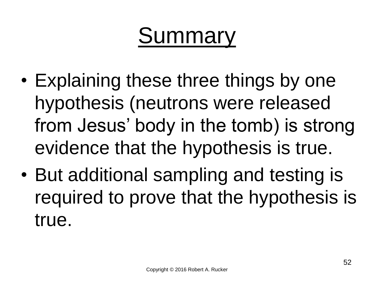### Summary

- Explaining these three things by one hypothesis (neutrons were released from Jesus' body in the tomb) is strong evidence that the hypothesis is true.
- But additional sampling and testing is required to prove that the hypothesis is true.